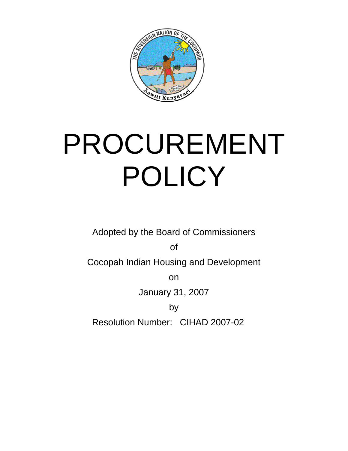

## PROCUREMENT POLICY

Adopted by the Board of Commissioners

of

Cocopah Indian Housing and Development

on

January 31, 2007

by Resolution Number: CIHAD 2007-02